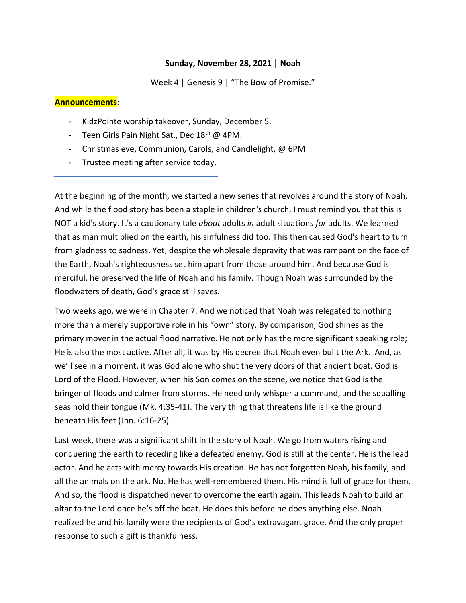## **Sunday, November 28, 2021 | Noah**

Week 4 | Genesis 9 | "The Bow of Promise."

### **Announcements**:

-

- KidzPointe worship takeover, Sunday, December 5.
- Teen Girls Pain Night Sat., Dec 18<sup>th</sup> @ 4PM.
- Christmas eve, Communion, Carols, and Candlelight, @ 6PM
- Trustee meeting after service today.

At the beginning of the month, we started a new series that revolves around the story of Noah. And while the flood story has been a staple in children's church, I must remind you that this is NOT a kid's story. It's a cautionary tale *about* adults *in* adult situations *for* adults. We learned that as man multiplied on the earth, his sinfulness did too. This then caused God's heart to turn from gladness to sadness. Yet, despite the wholesale depravity that was rampant on the face of the Earth, Noah's righteousness set him apart from those around him. And because God is merciful, he preserved the life of Noah and his family. Though Noah was surrounded by the floodwaters of death, God's grace still saves.

Two weeks ago, we were in Chapter 7. And we noticed that Noah was relegated to nothing more than a merely supportive role in his "own" story. By comparison, God shines as the primary mover in the actual flood narrative. He not only has the more significant speaking role; He is also the most active. After all, it was by His decree that Noah even built the Ark. And, as we'll see in a moment, it was God alone who shut the very doors of that ancient boat. God is Lord of the Flood. However, when his Son comes on the scene, we notice that God is the bringer of floods and calmer from storms. He need only whisper a command, and the squalling seas hold their tongue (Mk. 4:35-41). The very thing that threatens life is like the ground beneath His feet (Jhn. 6:16-25).

Last week, there was a significant shift in the story of Noah. We go from waters rising and conquering the earth to receding like a defeated enemy. God is still at the center. He is the lead actor. And he acts with mercy towards His creation. He has not forgotten Noah, his family, and all the animals on the ark. No. He has well-remembered them. His mind is full of grace for them. And so, the flood is dispatched never to overcome the earth again. This leads Noah to build an altar to the Lord once he's off the boat. He does this before he does anything else. Noah realized he and his family were the recipients of God's extravagant grace. And the only proper response to such a gift is thankfulness.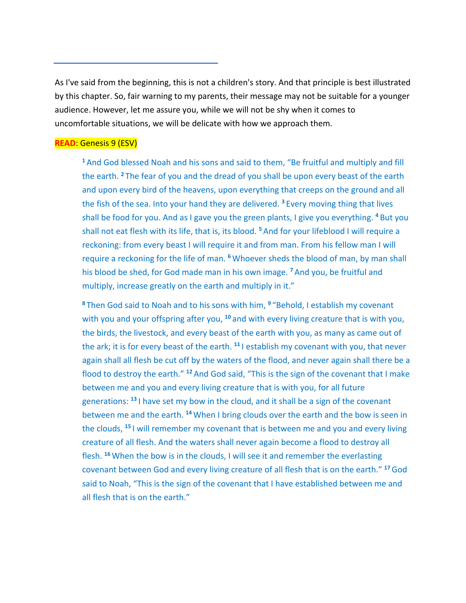As I've said from the beginning, this is not a children's story. And that principle is best illustrated by this chapter. So, fair warning to my parents, their message may not be suitable for a younger audience. However, let me assure you, while we will not be shy when it comes to uncomfortable situations, we will be delicate with how we approach them.

# **READ**: Genesis 9 (ESV)

**<sup>1</sup>**And God blessed Noah and his sons and said to them, "Be fruitful and multiply and fill the earth. **<sup>2</sup>** The fear of you and the dread of you shall be upon every beast of the earth and upon every bird of the heavens, upon everything that creeps on the ground and all the fish of the sea. Into your hand they are delivered. **<sup>3</sup>** Every moving thing that lives shall be food for you. And as I gave you the green plants, I give you everything. **<sup>4</sup>** But you shall not eat flesh with its life, that is, its blood. **<sup>5</sup>** And for your lifeblood I will require a reckoning: from every beast I will require it and from man. From his fellow man I will require a reckoning for the life of man. **<sup>6</sup>** Whoever sheds the blood of man, by man shall his blood be shed, for God made man in his own image. **<sup>7</sup>** And you, be fruitful and multiply, increase greatly on the earth and multiply in it."

**<sup>8</sup>** Then God said to Noah and to his sons with him, **<sup>9</sup>** "Behold, I establish my covenant with you and your offspring after you, **<sup>10</sup>** and with every living creature that is with you, the birds, the livestock, and every beast of the earth with you, as many as came out of the ark; it is for every beast of the earth. **<sup>11</sup>** I establish my covenant with you, that never again shall all flesh be cut off by the waters of the flood, and never again shall there be a flood to destroy the earth." **<sup>12</sup>** And God said, "This is the sign of the covenant that I make between me and you and every living creature that is with you, for all future generations: **<sup>13</sup>** I have set my bow in the cloud, and it shall be a sign of the covenant between me and the earth. **<sup>14</sup>** When I bring clouds over the earth and the bow is seen in the clouds, **<sup>15</sup>** I will remember my covenant that is between me and you and every living creature of all flesh. And the waters shall never again become a flood to destroy all flesh. **<sup>16</sup>** When the bow is in the clouds, I will see it and remember the everlasting covenant between God and every living creature of all flesh that is on the earth." **<sup>17</sup>**God said to Noah, "This is the sign of the covenant that I have established between me and all flesh that is on the earth."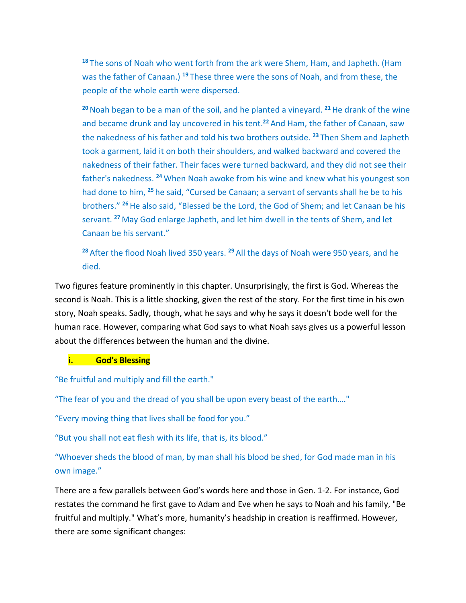**<sup>18</sup>** The sons of Noah who went forth from the ark were Shem, Ham, and Japheth. (Ham was the father of Canaan.) **<sup>19</sup>** These three were the sons of Noah, and from these, the people of the whole earth were dispersed.

**<sup>20</sup>**Noah began to be a man of the soil, and he planted a vineyard. **<sup>21</sup>**He drank of the wine and became drunk and lay uncovered in his tent.**<sup>22</sup>** And Ham, the father of Canaan, saw the nakedness of his father and told his two brothers outside. **<sup>23</sup>** Then Shem and Japheth took a garment, laid it on both their shoulders, and walked backward and covered the nakedness of their father. Their faces were turned backward, and they did not see their father's nakedness. **<sup>24</sup>** When Noah awoke from his wine and knew what his youngest son had done to him, **<sup>25</sup>** he said, "Cursed be Canaan; a servant of servants shall he be to his brothers." **<sup>26</sup>**He also said, "Blessed be the Lord, the God of Shem; and let Canaan be his servant. **<sup>27</sup>** May God enlarge Japheth, and let him dwell in the tents of Shem, and let Canaan be his servant."

**<sup>28</sup>** After the flood Noah lived 350 years. **<sup>29</sup>** All the days of Noah were 950 years, and he died.

Two figures feature prominently in this chapter. Unsurprisingly, the first is God. Whereas the second is Noah. This is a little shocking, given the rest of the story. For the first time in his own story, Noah speaks. Sadly, though, what he says and why he says it doesn't bode well for the human race. However, comparing what God says to what Noah says gives us a powerful lesson about the differences between the human and the divine.

# **i. God's Blessing**

"Be fruitful and multiply and fill the earth."

"The fear of you and the dread of you shall be upon every beast of the earth…."

"Every moving thing that lives shall be food for you."

"But you shall not eat flesh with its life, that is, its blood."

"Whoever sheds the blood of man, by man shall his blood be shed, for God made man in his own image."

There are a few parallels between God's words here and those in Gen. 1-2. For instance, God restates the command he first gave to Adam and Eve when he says to Noah and his family, "Be fruitful and multiply." What's more, humanity's headship in creation is reaffirmed. However, there are some significant changes: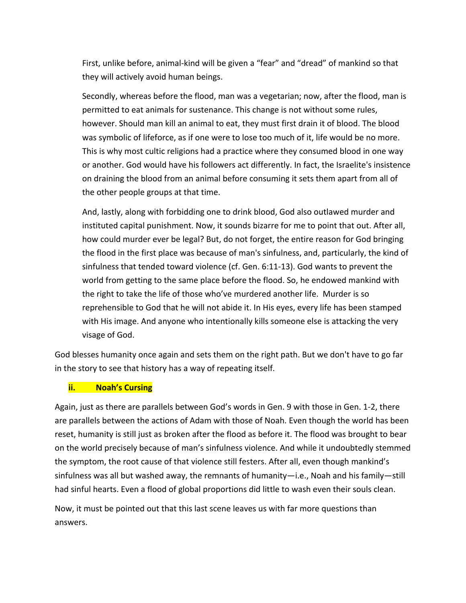First, unlike before, animal-kind will be given a "fear" and "dread" of mankind so that they will actively avoid human beings.

Secondly, whereas before the flood, man was a vegetarian; now, after the flood, man is permitted to eat animals for sustenance. This change is not without some rules, however. Should man kill an animal to eat, they must first drain it of blood. The blood was symbolic of lifeforce, as if one were to lose too much of it, life would be no more. This is why most cultic religions had a practice where they consumed blood in one way or another. God would have his followers act differently. In fact, the Israelite's insistence on draining the blood from an animal before consuming it sets them apart from all of the other people groups at that time.

And, lastly, along with forbidding one to drink blood, God also outlawed murder and instituted capital punishment. Now, it sounds bizarre for me to point that out. After all, how could murder ever be legal? But, do not forget, the entire reason for God bringing the flood in the first place was because of man's sinfulness, and, particularly, the kind of sinfulness that tended toward violence (cf. Gen. 6:11-13). God wants to prevent the world from getting to the same place before the flood. So, he endowed mankind with the right to take the life of those who've murdered another life. Murder is so reprehensible to God that he will not abide it. In His eyes, every life has been stamped with His image. And anyone who intentionally kills someone else is attacking the very visage of God.

God blesses humanity once again and sets them on the right path. But we don't have to go far in the story to see that history has a way of repeating itself.

# **ii. Noah's Cursing**

Again, just as there are parallels between God's words in Gen. 9 with those in Gen. 1-2, there are parallels between the actions of Adam with those of Noah. Even though the world has been reset, humanity is still just as broken after the flood as before it. The flood was brought to bear on the world precisely because of man's sinfulness violence. And while it undoubtedly stemmed the symptom, the root cause of that violence still festers. After all, even though mankind's sinfulness was all but washed away, the remnants of humanity—i.e., Noah and his family—still had sinful hearts. Even a flood of global proportions did little to wash even their souls clean.

Now, it must be pointed out that this last scene leaves us with far more questions than answers.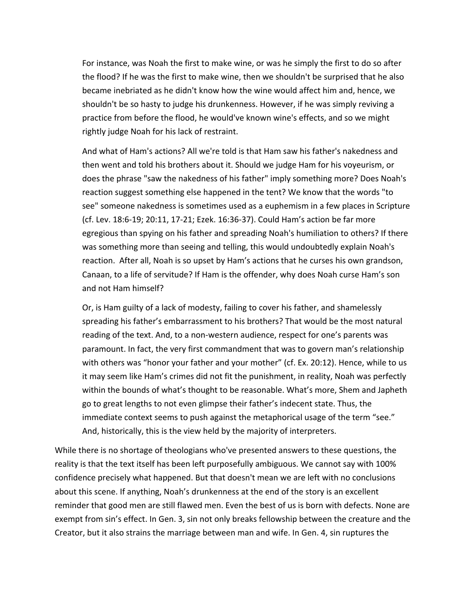For instance, was Noah the first to make wine, or was he simply the first to do so after the flood? If he was the first to make wine, then we shouldn't be surprised that he also became inebriated as he didn't know how the wine would affect him and, hence, we shouldn't be so hasty to judge his drunkenness. However, if he was simply reviving a practice from before the flood, he would've known wine's effects, and so we might rightly judge Noah for his lack of restraint.

And what of Ham's actions? All we're told is that Ham saw his father's nakedness and then went and told his brothers about it. Should we judge Ham for his voyeurism, or does the phrase "saw the nakedness of his father" imply something more? Does Noah's reaction suggest something else happened in the tent? We know that the words "to see" someone nakedness is sometimes used as a euphemism in a few places in Scripture (cf. Lev. 18:6-19; 20:11, 17-21; Ezek. 16:36-37). Could Ham's action be far more egregious than spying on his father and spreading Noah's humiliation to others? If there was something more than seeing and telling, this would undoubtedly explain Noah's reaction. After all, Noah is so upset by Ham's actions that he curses his own grandson, Canaan, to a life of servitude? If Ham is the offender, why does Noah curse Ham's son and not Ham himself?

Or, is Ham guilty of a lack of modesty, failing to cover his father, and shamelessly spreading his father's embarrassment to his brothers? That would be the most natural reading of the text. And, to a non-western audience, respect for one's parents was paramount. In fact, the very first commandment that was to govern man's relationship with others was "honor your father and your mother" (cf. Ex. 20:12). Hence, while to us it may seem like Ham's crimes did not fit the punishment, in reality, Noah was perfectly within the bounds of what's thought to be reasonable. What's more, Shem and Japheth go to great lengths to not even glimpse their father's indecent state. Thus, the immediate context seems to push against the metaphorical usage of the term "see." And, historically, this is the view held by the majority of interpreters.

While there is no shortage of theologians who've presented answers to these questions, the reality is that the text itself has been left purposefully ambiguous. We cannot say with 100% confidence precisely what happened. But that doesn't mean we are left with no conclusions about this scene. If anything, Noah's drunkenness at the end of the story is an excellent reminder that good men are still flawed men. Even the best of us is born with defects. None are exempt from sin's effect. In Gen. 3, sin not only breaks fellowship between the creature and the Creator, but it also strains the marriage between man and wife. In Gen. 4, sin ruptures the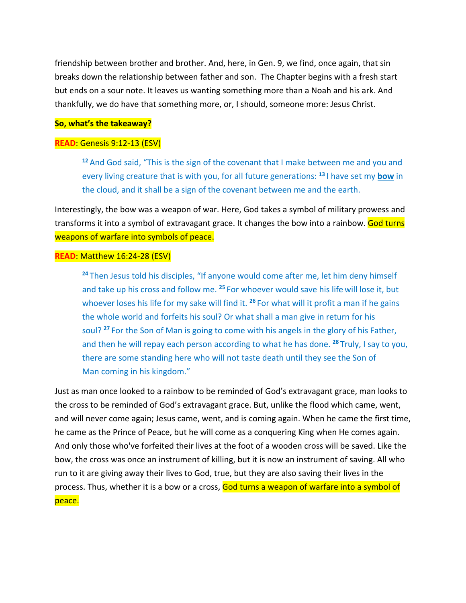friendship between brother and brother. And, here, in Gen. 9, we find, once again, that sin breaks down the relationship between father and son. The Chapter begins with a fresh start but ends on a sour note. It leaves us wanting something more than a Noah and his ark. And thankfully, we do have that something more, or, I should, someone more: Jesus Christ.

#### **So, what's the takeaway?**

#### **READ**: Genesis 9:12-13 (ESV)

**<sup>12</sup>** And God said, "This is the sign of the covenant that I make between me and you and every living creature that is with you, for all future generations: **<sup>13</sup>** I have set my **bow** in the cloud, and it shall be a sign of the covenant between me and the earth.

Interestingly, the bow was a weapon of war. Here, God takes a symbol of military prowess and transforms it into a symbol of extravagant grace. It changes the bow into a rainbow. God turns weapons of warfare into symbols of peace.

### **READ**: Matthew 16:24-28 (ESV)

**<sup>24</sup>** Then Jesus told his disciples, "If anyone would come after me, let him deny himself and take up his cross and follow me. **<sup>25</sup>** For whoever would save his life will lose it, but whoever loses his life for my sake will find it. **<sup>26</sup>** For what will it profit a man if he gains the whole world and forfeits his soul? Or what shall a man give in return for his soul? **<sup>27</sup>** For the Son of Man is going to come with his angels in the glory of his Father, and then he will repay each person according to what he has done. **<sup>28</sup>** Truly, I say to you, there are some standing here who will not taste death until they see the Son of Man coming in his kingdom."

Just as man once looked to a rainbow to be reminded of God's extravagant grace, man looks to the cross to be reminded of God's extravagant grace. But, unlike the flood which came, went, and will never come again; Jesus came, went, and is coming again. When he came the first time, he came as the Prince of Peace, but he will come as a conquering King when He comes again. And only those who've forfeited their lives at the foot of a wooden cross will be saved. Like the bow, the cross was once an instrument of killing, but it is now an instrument of saving. All who run to it are giving away their lives to God, true, but they are also saving their lives in the process. Thus, whether it is a bow or a cross, God turns a weapon of warfare into a symbol of peace.